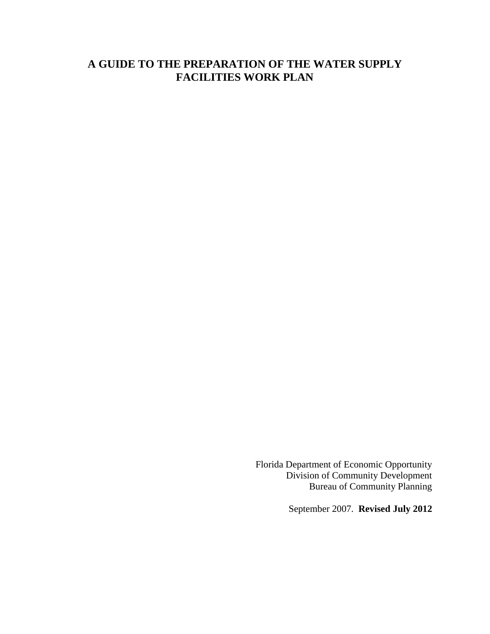# **A GUIDE TO THE PREPARATION OF THE WATER SUPPLY FACILITIES WORK PLAN**

Florida Department of Economic Opportunity Division of Community Development Bureau of Community Planning

September 2007. **Revised July 2012**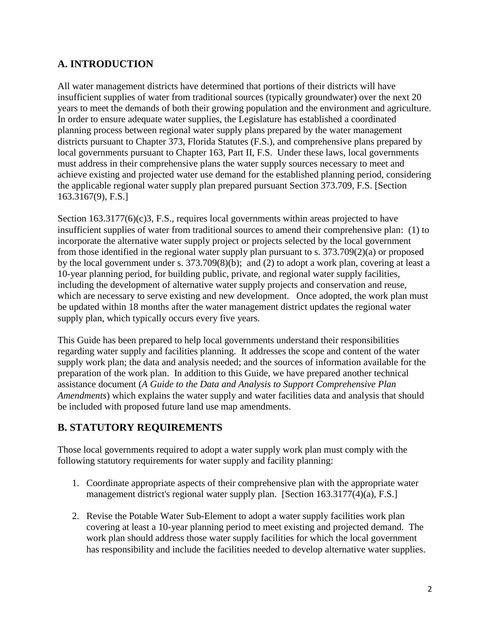# **A. INTRODUCTION**

All water management districts have determined that portions of their districts will have insufficient supplies of water from traditional sources (typically groundwater) over the next 20 years to meet the demands of both their growing population and the environment and agriculture. In order to ensure adequate water supplies, the Legislature has established a coordinated planning process between regional water supply plans prepared by the water management districts pursuant to Chapter 373, Florida Statutes (F.S.), and comprehensive plans prepared by local governments pursuant to Chapter 163, Part II, F.S. Under these laws, local governments must address in their comprehensive plans the water supply sources necessary to meet and achieve existing and projected water use demand for the established planning period, considering the applicable regional water supply plan prepared pursuant Section 373.709, F.S. [Section 163.3167(9), F.S.]

Section  $163.3177(6)(c)3$ , F.S., requires local governments within areas projected to have insufficient supplies of water from traditional sources to amend their comprehensive plan: (1) to incorporate the alternative water supply project or projects selected by the local government from those identified in the regional water supply plan pursuant to s. 373.709(2)(a) or proposed by the local government under s. 373.709(8)(b); and (2) to adopt a work plan, covering at least a 10-year planning period, for building public, private, and regional water supply facilities, including the development of alternative water supply projects and conservation and reuse, which are necessary to serve existing and new development. Once adopted, the work plan must be updated within 18 months after the water management district updates the regional water supply plan, which typically occurs every five years.

This Guide has been prepared to help local governments understand their responsibilities regarding water supply and facilities planning. It addresses the scope and content of the water supply work plan; the data and analysis needed; and the sources of information available for the preparation of the work plan. In addition to this Guide, we have prepared another technical assistance document (*A Guide to the Data and Analysis to Support Comprehensive Plan Amendments*) which explains the water supply and water facilities data and analysis that should be included with proposed future land use map amendments.

# **B. STATUTORY REQUIREMENTS**

Those local governments required to adopt a water supply work plan must comply with the following statutory requirements for water supply and facility planning:

- 1. Coordinate appropriate aspects of their comprehensive plan with the appropriate water management district's regional water supply plan. [Section 163.3177(4)(a), F.S.]
- 2. Revise the Potable Water Sub-Element to adopt a water supply facilities work plan covering at least a 10-year planning period to meet existing and projected demand. The work plan should address those water supply facilities for which the local government has responsibility and include the facilities needed to develop alternative water supplies.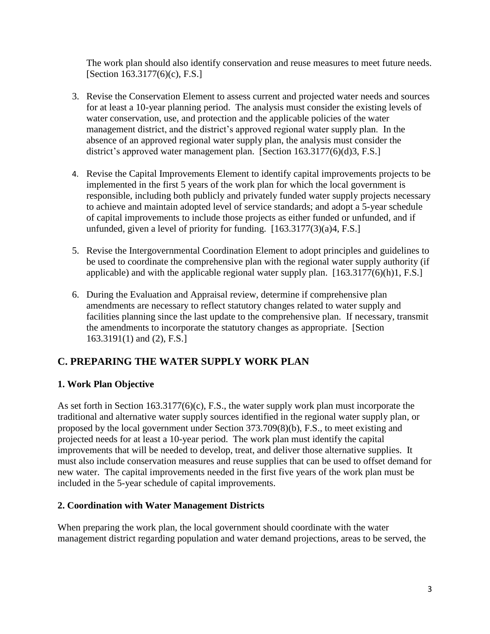The work plan should also identify conservation and reuse measures to meet future needs. [Section 163.3177(6)(c), F.S.]

- 3. Revise the Conservation Element to assess current and projected water needs and sources for at least a 10-year planning period. The analysis must consider the existing levels of water conservation, use, and protection and the applicable policies of the water management district, and the district's approved regional water supply plan. In the absence of an approved regional water supply plan, the analysis must consider the district's approved water management plan. [Section 163.3177(6)(d)3, F.S.]
- 4. Revise the Capital Improvements Element to identify capital improvements projects to be implemented in the first 5 years of the work plan for which the local government is responsible, including both publicly and privately funded water supply projects necessary to achieve and maintain adopted level of service standards; and adopt a 5-year schedule of capital improvements to include those projects as either funded or unfunded, and if unfunded, given a level of priority for funding. [163.3177(3)(a)4, F.S.]
- 5. Revise the Intergovernmental Coordination Element to adopt principles and guidelines to be used to coordinate the comprehensive plan with the regional water supply authority (if applicable) and with the applicable regional water supply plan. [163.3177(6)(h)1, F.S.]
- 6. During the Evaluation and Appraisal review, determine if comprehensive plan amendments are necessary to reflect statutory changes related to water supply and facilities planning since the last update to the comprehensive plan. If necessary, transmit the amendments to incorporate the statutory changes as appropriate. [Section 163.3191(1) and (2), F.S.]

# **C. PREPARING THE WATER SUPPLY WORK PLAN**

# **1. Work Plan Objective**

As set forth in Section 163.3177(6)(c), F.S., the water supply work plan must incorporate the traditional and alternative water supply sources identified in the regional water supply plan, or proposed by the local government under Section 373.709(8)(b), F.S., to meet existing and projected needs for at least a 10-year period. The work plan must identify the capital improvements that will be needed to develop, treat, and deliver those alternative supplies. It must also include conservation measures and reuse supplies that can be used to offset demand for new water. The capital improvements needed in the first five years of the work plan must be included in the 5-year schedule of capital improvements.

### **2. Coordination with Water Management Districts**

When preparing the work plan, the local government should coordinate with the water management district regarding population and water demand projections, areas to be served, the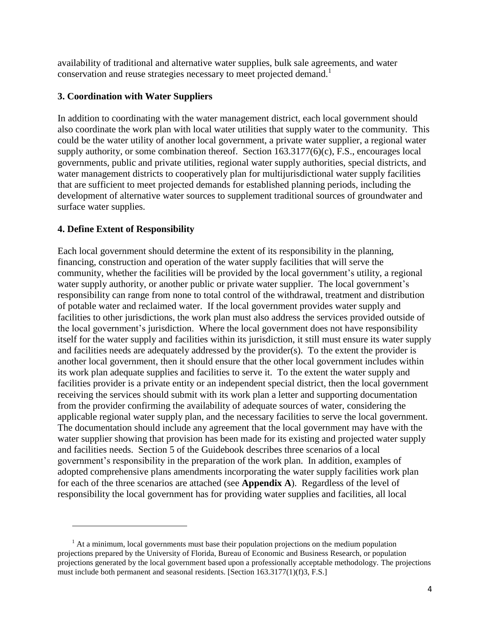availability of traditional and alternative water supplies, bulk sale agreements, and water conservation and reuse strategies necessary to meet projected demand.<sup>1</sup>

### **3. Coordination with Water Suppliers**

In addition to coordinating with the water management district, each local government should also coordinate the work plan with local water utilities that supply water to the community. This could be the water utility of another local government, a private water supplier, a regional water supply authority, or some combination thereof. Section 163.3177(6)(c), F.S., encourages local governments, public and private utilities, regional water supply authorities, special districts, and water management districts to cooperatively plan for multijurisdictional water supply facilities that are sufficient to meet projected demands for established planning periods, including the development of alternative water sources to supplement traditional sources of groundwater and surface water supplies.

# **4. Define Extent of Responsibility**

 $\overline{a}$ 

Each local government should determine the extent of its responsibility in the planning, financing, construction and operation of the water supply facilities that will serve the community, whether the facilities will be provided by the local government's utility, a regional water supply authority, or another public or private water supplier. The local government's responsibility can range from none to total control of the withdrawal, treatment and distribution of potable water and reclaimed water. If the local government provides water supply and facilities to other jurisdictions, the work plan must also address the services provided outside of the local government's jurisdiction. Where the local government does not have responsibility itself for the water supply and facilities within its jurisdiction, it still must ensure its water supply and facilities needs are adequately addressed by the provider(s). To the extent the provider is another local government, then it should ensure that the other local government includes within its work plan adequate supplies and facilities to serve it. To the extent the water supply and facilities provider is a private entity or an independent special district, then the local government receiving the services should submit with its work plan a letter and supporting documentation from the provider confirming the availability of adequate sources of water, considering the applicable regional water supply plan, and the necessary facilities to serve the local government. The documentation should include any agreement that the local government may have with the water supplier showing that provision has been made for its existing and projected water supply and facilities needs. Section 5 of the Guidebook describes three scenarios of a local government's responsibility in the preparation of the work plan. In addition, examples of adopted comprehensive plans amendments incorporating the water supply facilities work plan for each of the three scenarios are attached (see **Appendix A**). Regardless of the level of responsibility the local government has for providing water supplies and facilities, all local

 $<sup>1</sup>$  At a minimum, local governments must base their population projections on the medium population</sup> projections prepared by the University of Florida, Bureau of Economic and Business Research, or population projections generated by the local government based upon a professionally acceptable methodology. The projections must include both permanent and seasonal residents. [Section 163.3177(1)(f)3, F.S.]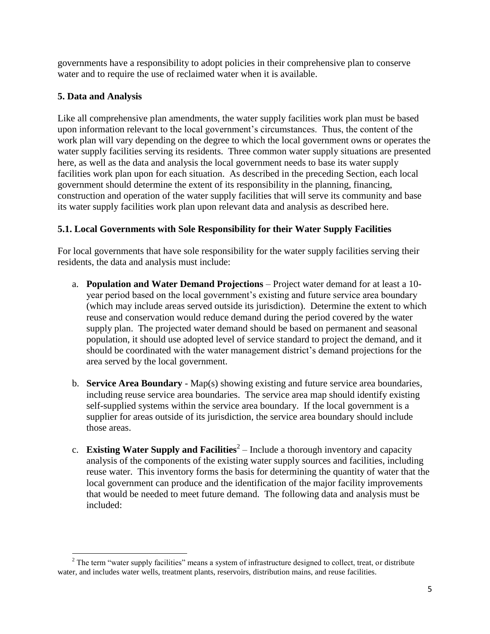governments have a responsibility to adopt policies in their comprehensive plan to conserve water and to require the use of reclaimed water when it is available.

### **5. Data and Analysis**

Like all comprehensive plan amendments, the water supply facilities work plan must be based upon information relevant to the local government's circumstances. Thus, the content of the work plan will vary depending on the degree to which the local government owns or operates the water supply facilities serving its residents. Three common water supply situations are presented here, as well as the data and analysis the local government needs to base its water supply facilities work plan upon for each situation. As described in the preceding Section, each local government should determine the extent of its responsibility in the planning, financing, construction and operation of the water supply facilities that will serve its community and base its water supply facilities work plan upon relevant data and analysis as described here.

# **5.1. Local Governments with Sole Responsibility for their Water Supply Facilities**

For local governments that have sole responsibility for the water supply facilities serving their residents, the data and analysis must include:

- a. **Population and Water Demand Projections** Project water demand for at least a 10 year period based on the local government's existing and future service area boundary (which may include areas served outside its jurisdiction). Determine the extent to which reuse and conservation would reduce demand during the period covered by the water supply plan. The projected water demand should be based on permanent and seasonal population, it should use adopted level of service standard to project the demand, and it should be coordinated with the water management district's demand projections for the area served by the local government.
- b. **Service Area Boundary** Map(s) showing existing and future service area boundaries, including reuse service area boundaries. The service area map should identify existing self-supplied systems within the service area boundary. If the local government is a supplier for areas outside of its jurisdiction, the service area boundary should include those areas.
- c. **Existing Water Supply and Facilities**<sup>2</sup> Include a thorough inventory and capacity analysis of the components of the existing water supply sources and facilities, including reuse water. This inventory forms the basis for determining the quantity of water that the local government can produce and the identification of the major facility improvements that would be needed to meet future demand. The following data and analysis must be included:

 $\overline{\phantom{a}}$  $2^2$  The term "water supply facilities" means a system of infrastructure designed to collect, treat, or distribute water, and includes water wells, treatment plants, reservoirs, distribution mains, and reuse facilities.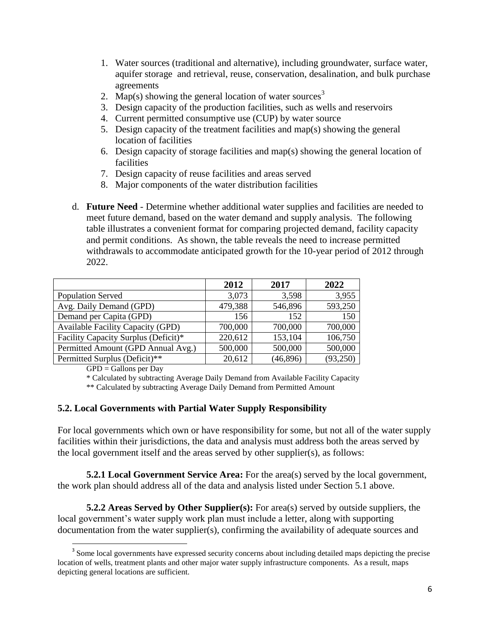- 1. Water sources (traditional and alternative), including groundwater, surface water, aquifer storage and retrieval, reuse, conservation, desalination, and bulk purchase agreements
- 2. Map(s) showing the general location of water sources<sup>3</sup>
- 3. Design capacity of the production facilities, such as wells and reservoirs
- 4. Current permitted consumptive use (CUP) by water source
- 5. Design capacity of the treatment facilities and map(s) showing the general location of facilities
- 6. Design capacity of storage facilities and map(s) showing the general location of facilities
- 7. Design capacity of reuse facilities and areas served
- 8. Major components of the water distribution facilities
- d. **Future Need** Determine whether additional water supplies and facilities are needed to meet future demand, based on the water demand and supply analysis. The following table illustrates a convenient format for comparing projected demand, facility capacity and permit conditions. As shown, the table reveals the need to increase permitted withdrawals to accommodate anticipated growth for the 10-year period of 2012 through 2022.

|                                          | 2012    | 2017      | 2022     |
|------------------------------------------|---------|-----------|----------|
| <b>Population Served</b>                 | 3,073   | 3,598     | 3,955    |
| Avg. Daily Demand (GPD)                  | 479,388 | 546,896   | 593,250  |
| Demand per Capita (GPD)                  | 156     | 152       | 150      |
| <b>Available Facility Capacity (GPD)</b> | 700,000 | 700,000   | 700,000  |
| Facility Capacity Surplus (Deficit)*     | 220,612 | 153,104   | 106,750  |
| Permitted Amount (GPD Annual Avg.)       | 500,000 | 500,000   | 500,000  |
| Permitted Surplus (Deficit)**            | 20,612  | (46, 896) | (93,250) |

 $GPD =$  Gallons per Day

 $\overline{\phantom{a}}$ 

\* Calculated by subtracting Average Daily Demand from Available Facility Capacity

\*\* Calculated by subtracting Average Daily Demand from Permitted Amount

#### **5.2. Local Governments with Partial Water Supply Responsibility**

For local governments which own or have responsibility for some, but not all of the water supply facilities within their jurisdictions, the data and analysis must address both the areas served by the local government itself and the areas served by other supplier(s), as follows:

**5.2.1 Local Government Service Area:** For the area(s) served by the local government, the work plan should address all of the data and analysis listed under Section 5.1 above.

**5.2.2 Areas Served by Other Supplier(s):** For area(s) served by outside suppliers, the local government's water supply work plan must include a letter, along with supporting documentation from the water supplier(s), confirming the availability of adequate sources and

<sup>&</sup>lt;sup>3</sup> Some local governments have expressed security concerns about including detailed maps depicting the precise location of wells, treatment plants and other major water supply infrastructure components. As a result, maps depicting general locations are sufficient.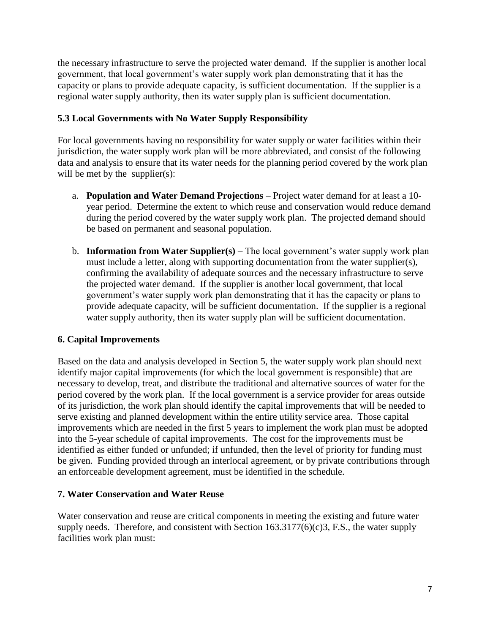the necessary infrastructure to serve the projected water demand. If the supplier is another local government, that local government's water supply work plan demonstrating that it has the capacity or plans to provide adequate capacity, is sufficient documentation. If the supplier is a regional water supply authority, then its water supply plan is sufficient documentation.

# **5.3 Local Governments with No Water Supply Responsibility**

For local governments having no responsibility for water supply or water facilities within their jurisdiction, the water supply work plan will be more abbreviated, and consist of the following data and analysis to ensure that its water needs for the planning period covered by the work plan will be met by the supplier(s):

- a. **Population and Water Demand Projections** Project water demand for at least a 10 year period. Determine the extent to which reuse and conservation would reduce demand during the period covered by the water supply work plan. The projected demand should be based on permanent and seasonal population.
- b. **Information from Water Supplier(s)** The local government's water supply work plan must include a letter, along with supporting documentation from the water supplier(s), confirming the availability of adequate sources and the necessary infrastructure to serve the projected water demand. If the supplier is another local government, that local government's water supply work plan demonstrating that it has the capacity or plans to provide adequate capacity, will be sufficient documentation. If the supplier is a regional water supply authority, then its water supply plan will be sufficient documentation.

# **6. Capital Improvements**

Based on the data and analysis developed in Section 5, the water supply work plan should next identify major capital improvements (for which the local government is responsible) that are necessary to develop, treat, and distribute the traditional and alternative sources of water for the period covered by the work plan. If the local government is a service provider for areas outside of its jurisdiction, the work plan should identify the capital improvements that will be needed to serve existing and planned development within the entire utility service area. Those capital improvements which are needed in the first 5 years to implement the work plan must be adopted into the 5-year schedule of capital improvements. The cost for the improvements must be identified as either funded or unfunded; if unfunded, then the level of priority for funding must be given. Funding provided through an interlocal agreement, or by private contributions through an enforceable development agreement, must be identified in the schedule.

### **7. Water Conservation and Water Reuse**

Water conservation and reuse are critical components in meeting the existing and future water supply needs. Therefore, and consistent with Section  $163.3177(6)(c)3$ , F.S., the water supply facilities work plan must: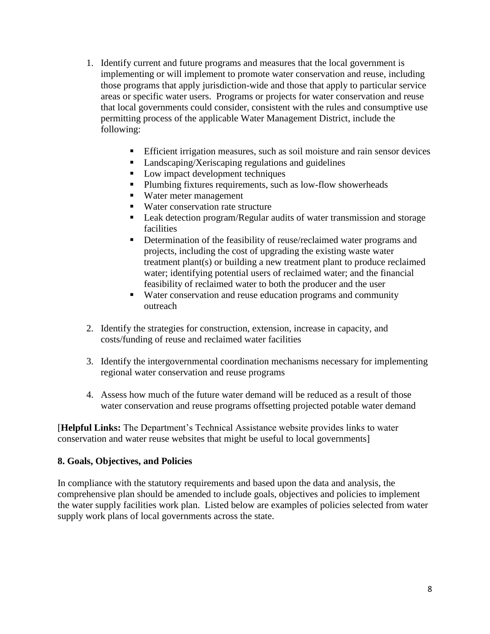- 1. Identify current and future programs and measures that the local government is implementing or will implement to promote water conservation and reuse, including those programs that apply jurisdiction-wide and those that apply to particular service areas or specific water users. Programs or projects for water conservation and reuse that local governments could consider, consistent with the rules and consumptive use permitting process of the applicable Water Management District, include the following:
	- Efficient irrigation measures, such as soil moisture and rain sensor devices
	- Landscaping/Xeriscaping regulations and guidelines
	- Low impact development techniques
	- **Plumbing fixtures requirements, such as low-flow showerheads**
	- Water meter management
	- Water conservation rate structure
	- Leak detection program/Regular audits of water transmission and storage facilities
	- Determination of the feasibility of reuse/reclaimed water programs and projects, including the cost of upgrading the existing waste water treatment plant(s) or building a new treatment plant to produce reclaimed water; identifying potential users of reclaimed water; and the financial feasibility of reclaimed water to both the producer and the user
	- Water conservation and reuse education programs and community outreach
- 2. Identify the strategies for construction, extension, increase in capacity, and costs/funding of reuse and reclaimed water facilities
- 3. Identify the intergovernmental coordination mechanisms necessary for implementing regional water conservation and reuse programs
- 4. Assess how much of the future water demand will be reduced as a result of those water conservation and reuse programs offsetting projected potable water demand

[**Helpful Links:** The Department's Technical Assistance website provides links to water conservation and water reuse websites that might be useful to local governments]

#### **8. Goals, Objectives, and Policies**

In compliance with the statutory requirements and based upon the data and analysis, the comprehensive plan should be amended to include goals, objectives and policies to implement the water supply facilities work plan. Listed below are examples of policies selected from water supply work plans of local governments across the state.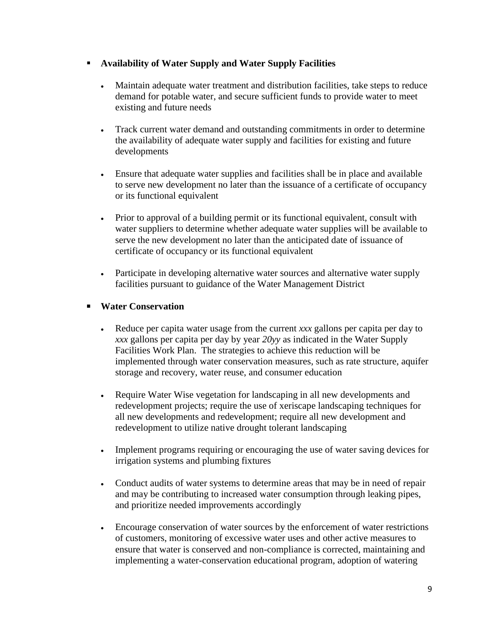### **Availability of Water Supply and Water Supply Facilities**

- Maintain adequate water treatment and distribution facilities, take steps to reduce demand for potable water, and secure sufficient funds to provide water to meet existing and future needs
- Track current water demand and outstanding commitments in order to determine the availability of adequate water supply and facilities for existing and future developments
- Ensure that adequate water supplies and facilities shall be in place and available to serve new development no later than the issuance of a certificate of occupancy or its functional equivalent
- Prior to approval of a building permit or its functional equivalent, consult with water suppliers to determine whether adequate water supplies will be available to serve the new development no later than the anticipated date of issuance of certificate of occupancy or its functional equivalent
- Participate in developing alternative water sources and alternative water supply facilities pursuant to guidance of the Water Management District

# **Water Conservation**

- Reduce per capita water usage from the current *xxx* gallons per capita per day to *xxx* gallons per capita per day by year *20yy* as indicated in the Water Supply Facilities Work Plan. The strategies to achieve this reduction will be implemented through water conservation measures, such as rate structure, aquifer storage and recovery, water reuse, and consumer education
- Require Water Wise vegetation for landscaping in all new developments and redevelopment projects; require the use of xeriscape landscaping techniques for all new developments and redevelopment; require all new development and redevelopment to utilize native drought tolerant landscaping
- Implement programs requiring or encouraging the use of water saving devices for irrigation systems and plumbing fixtures
- Conduct audits of water systems to determine areas that may be in need of repair and may be contributing to increased water consumption through leaking pipes, and prioritize needed improvements accordingly
- Encourage conservation of water sources by the enforcement of water restrictions of customers, monitoring of excessive water uses and other active measures to ensure that water is conserved and non-compliance is corrected, maintaining and implementing a water-conservation educational program, adoption of watering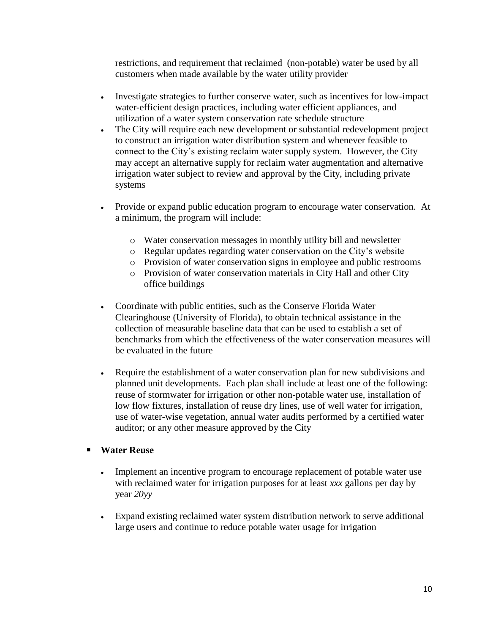restrictions, and requirement that reclaimed (non-potable) water be used by all customers when made available by the water utility provider

- Investigate strategies to further conserve water, such as incentives for low-impact water-efficient design practices, including water efficient appliances, and utilization of a water system conservation rate schedule structure
- The City will require each new development or substantial redevelopment project to construct an irrigation water distribution system and whenever feasible to connect to the City's existing reclaim water supply system. However, the City may accept an alternative supply for reclaim water augmentation and alternative irrigation water subject to review and approval by the City, including private systems
- Provide or expand public education program to encourage water conservation. At a minimum, the program will include:
	- o Water conservation messages in monthly utility bill and newsletter
	- o Regular updates regarding water conservation on the City's website
	- o Provision of water conservation signs in employee and public restrooms
	- o Provision of water conservation materials in City Hall and other City office buildings
- Coordinate with public entities, such as the Conserve Florida Water Clearinghouse (University of Florida), to obtain technical assistance in the collection of measurable baseline data that can be used to establish a set of benchmarks from which the effectiveness of the water conservation measures will be evaluated in the future
- Require the establishment of a water conservation plan for new subdivisions and planned unit developments. Each plan shall include at least one of the following: reuse of stormwater for irrigation or other non-potable water use, installation of low flow fixtures, installation of reuse dry lines, use of well water for irrigation, use of water-wise vegetation, annual water audits performed by a certified water auditor; or any other measure approved by the City

### **Water Reuse**

- Implement an incentive program to encourage replacement of potable water use with reclaimed water for irrigation purposes for at least *xxx* gallons per day by year *20yy*
- Expand existing reclaimed water system distribution network to serve additional large users and continue to reduce potable water usage for irrigation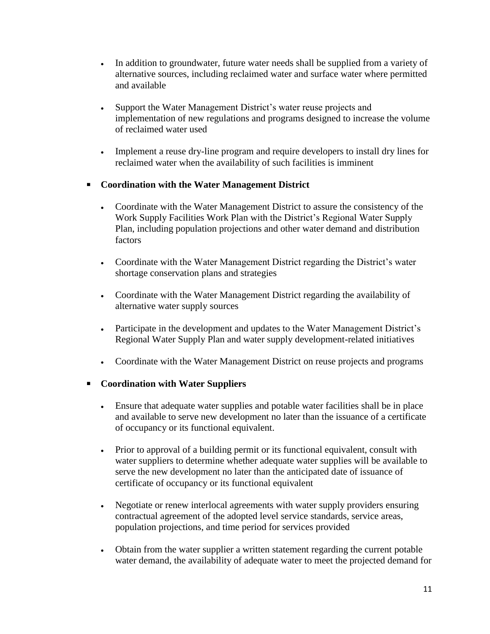- In addition to groundwater, future water needs shall be supplied from a variety of alternative sources, including reclaimed water and surface water where permitted and available
- Support the Water Management District's water reuse projects and implementation of new regulations and programs designed to increase the volume of reclaimed water used
- Implement a reuse dry-line program and require developers to install dry lines for reclaimed water when the availability of such facilities is imminent

# **Coordination with the Water Management District**

- Coordinate with the Water Management District to assure the consistency of the Work Supply Facilities Work Plan with the District's Regional Water Supply Plan, including population projections and other water demand and distribution factors
- Coordinate with the Water Management District regarding the District's water shortage conservation plans and strategies
- Coordinate with the Water Management District regarding the availability of alternative water supply sources
- Participate in the development and updates to the Water Management District's Regional Water Supply Plan and water supply development-related initiatives
- Coordinate with the Water Management District on reuse projects and programs

### **Coordination with Water Suppliers**

- Ensure that adequate water supplies and potable water facilities shall be in place and available to serve new development no later than the issuance of a certificate of occupancy or its functional equivalent.
- Prior to approval of a building permit or its functional equivalent, consult with water suppliers to determine whether adequate water supplies will be available to serve the new development no later than the anticipated date of issuance of certificate of occupancy or its functional equivalent
- Negotiate or renew interlocal agreements with water supply providers ensuring contractual agreement of the adopted level service standards, service areas, population projections, and time period for services provided
- Obtain from the water supplier a written statement regarding the current potable water demand, the availability of adequate water to meet the projected demand for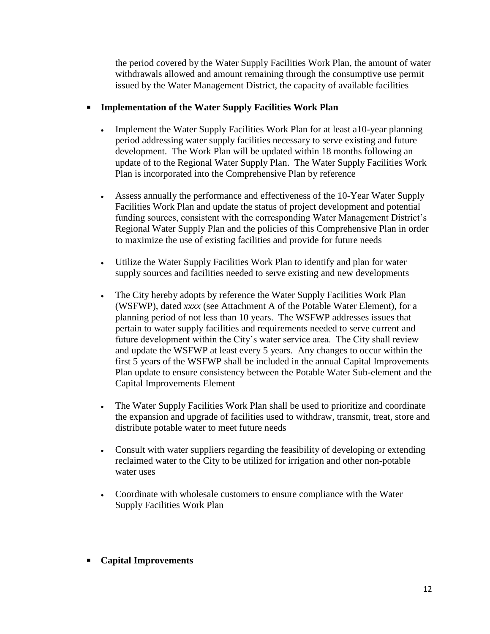the period covered by the Water Supply Facilities Work Plan, the amount of water withdrawals allowed and amount remaining through the consumptive use permit issued by the Water Management District, the capacity of available facilities

#### **Implementation of the Water Supply Facilities Work Plan**

- Implement the Water Supply Facilities Work Plan for at least a10-year planning period addressing water supply facilities necessary to serve existing and future development. The Work Plan will be updated within 18 months following an update of to the Regional Water Supply Plan. The Water Supply Facilities Work Plan is incorporated into the Comprehensive Plan by reference
- Assess annually the performance and effectiveness of the 10-Year Water Supply Facilities Work Plan and update the status of project development and potential funding sources, consistent with the corresponding Water Management District's Regional Water Supply Plan and the policies of this Comprehensive Plan in order to maximize the use of existing facilities and provide for future needs
- Utilize the Water Supply Facilities Work Plan to identify and plan for water supply sources and facilities needed to serve existing and new developments
- The City hereby adopts by reference the Water Supply Facilities Work Plan (WSFWP), dated *xxxx* (see Attachment A of the Potable Water Element), for a planning period of not less than 10 years. The WSFWP addresses issues that pertain to water supply facilities and requirements needed to serve current and future development within the City's water service area. The City shall review and update the WSFWP at least every 5 years. Any changes to occur within the first 5 years of the WSFWP shall be included in the annual Capital Improvements Plan update to ensure consistency between the Potable Water Sub-element and the Capital Improvements Element
- The Water Supply Facilities Work Plan shall be used to prioritize and coordinate the expansion and upgrade of facilities used to withdraw, transmit, treat, store and distribute potable water to meet future needs
- Consult with water suppliers regarding the feasibility of developing or extending reclaimed water to the City to be utilized for irrigation and other non-potable water uses
- Coordinate with wholesale customers to ensure compliance with the Water Supply Facilities Work Plan
- **Capital Improvements**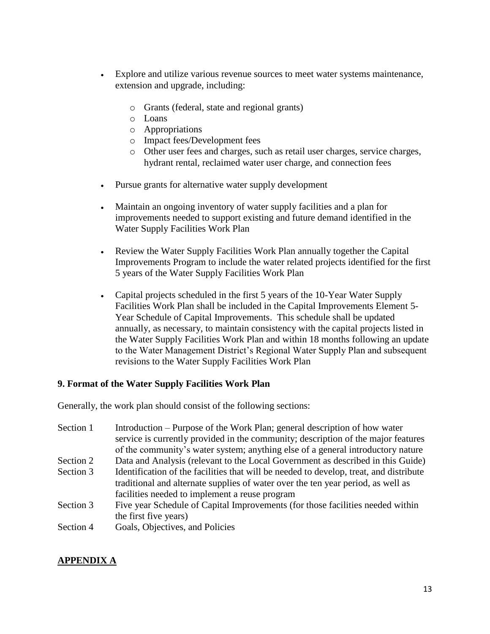- Explore and utilize various revenue sources to meet water systems maintenance, extension and upgrade, including:
	- o Grants (federal, state and regional grants)
	- o Loans
	- o Appropriations
	- o Impact fees/Development fees
	- o Other user fees and charges, such as retail user charges, service charges, hydrant rental, reclaimed water user charge, and connection fees
- Pursue grants for alternative water supply development
- Maintain an ongoing inventory of water supply facilities and a plan for improvements needed to support existing and future demand identified in the Water Supply Facilities Work Plan
- Review the Water Supply Facilities Work Plan annually together the Capital Improvements Program to include the water related projects identified for the first 5 years of the Water Supply Facilities Work Plan
- Capital projects scheduled in the first 5 years of the 10-Year Water Supply Facilities Work Plan shall be included in the Capital Improvements Element 5- Year Schedule of Capital Improvements. This schedule shall be updated annually, as necessary, to maintain consistency with the capital projects listed in the Water Supply Facilities Work Plan and within 18 months following an update to the Water Management District's Regional Water Supply Plan and subsequent revisions to the Water Supply Facilities Work Plan

#### **9. Format of the Water Supply Facilities Work Plan**

Generally, the work plan should consist of the following sections:

| Section 1 | Introduction – Purpose of the Work Plan; general description of how water              |
|-----------|----------------------------------------------------------------------------------------|
|           | service is currently provided in the community; description of the major features      |
|           | of the community's water system; anything else of a general introductory nature        |
| Section 2 | Data and Analysis (relevant to the Local Government as described in this Guide)        |
| Section 3 | Identification of the facilities that will be needed to develop, treat, and distribute |
|           | traditional and alternate supplies of water over the ten year period, as well as       |
|           | facilities needed to implement a reuse program                                         |
| Section 3 | Five year Schedule of Capital Improvements (for those facilities needed within         |
|           | the first five years)                                                                  |
| Section 4 | Goals, Objectives, and Policies                                                        |
|           |                                                                                        |

### **APPENDIX A**